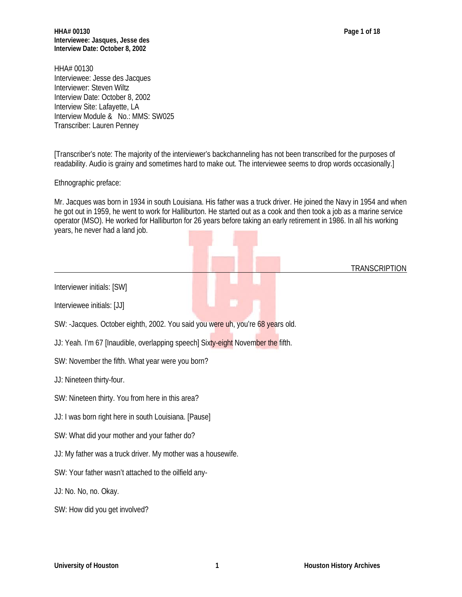**TRANSCRIPTION** 

**HHA# 00130 Page 1 of 18 Interviewee: Jasques, Jesse des Interview Date: October 8, 2002**

HHA# 00130 Interviewee: Jesse des Jacques Interviewer: Steven Wiltz Interview Date: October 8, 2002 Interview Site: Lafayette, LA Interview Module & No.: MMS: SW025 Transcriber: Lauren Penney

[Transcriber's note: The majority of the interviewer's backchanneling has not been transcribed for the purposes of readability. Audio is grainy and sometimes hard to make out. The interviewee seems to drop words occasionally.]

Ethnographic preface:

Mr. Jacques was born in 1934 in south Louisiana. His father was a truck driver. He joined the Navy in 1954 and when he got out in 1959, he went to work for Halliburton. He started out as a cook and then took a job as a marine service operator (MSO). He worked for Halliburton for 26 years before taking an early retirement in 1986. In all his working years, he never had a land job.

Interviewer initials: [SW]

Interviewee initials: [JJ]

SW: -Jacques. October eighth, 2002. You said you were uh, you're 68 years old.

JJ: Yeah. I'm 67 [Inaudible, overlapping speech] Sixty-eight November the fifth.

SW: November the fifth. What year were you born?

JJ: Nineteen thirty-four.

SW: Nineteen thirty. You from here in this area?

JJ: I was born right here in south Louisiana. [Pause]

SW: What did your mother and your father do?

JJ: My father was a truck driver. My mother was a housewife.

SW: Your father wasn't attached to the oilfield any-

JJ: No. No, no. Okay.

SW: How did you get involved?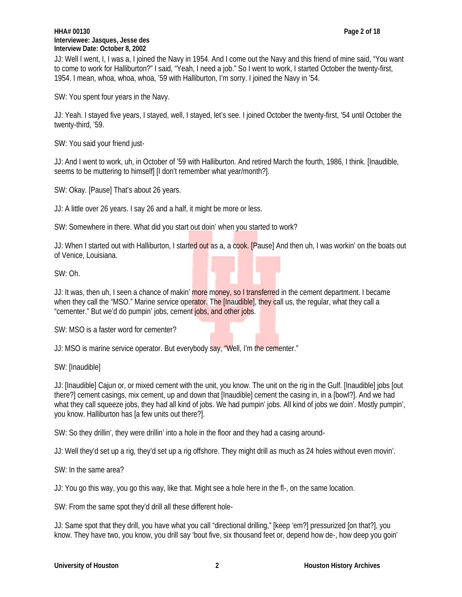#### **HHA# 00130 Page 2 of 18 Interviewee: Jasques, Jesse des Interview Date: October 8, 2002**

JJ: Well I went, I, I was a, I joined the Navy in 1954. And I come out the Navy and this friend of mine said, "You want to come to work for Halliburton?" I said, "Yeah, I need a job." So I went to work, I started October the twenty-first, 1954. I mean, whoa, whoa, whoa, '59 with Halliburton, I'm sorry. I joined the Navy in '54.

SW: You spent four years in the Navy.

JJ: Yeah. I stayed five years, I stayed, well, I stayed, let's see. I joined October the twenty-first, '54 until October the twenty-third, '59.

SW: You said your friend just-

JJ: And I went to work, uh, in October of '59 with Halliburton. And retired March the fourth, 1986, I think. [Inaudible, seems to be muttering to himself] [I don't remember what year/month?].

SW: Okay. [Pause] That's about 26 years.

JJ: A little over 26 years. I say 26 and a half, it might be more or less.

SW: Somewhere in there. What did you start out doin' when you started to work?

JJ: When I started out with Halliburton, I started out as a, a cook. [Pause] And then uh, I was workin' on the boats out of Venice, Louisiana.

SW: Oh.

JJ: It was, then uh, I seen a chance of makin' more money, so I transferred in the cement department. I became when they call the "MSO." Marine service operator. The [Inaudible], they call us, the regular, what they call a "cementer." But we'd do pumpin' jobs, cement jobs, and other jobs.

SW: MSO is a faster word for cementer?

JJ: MSO is marine service operator. But everybody say, "Well, I'm the cementer."

SW: [Inaudible]

JJ: [Inaudible] Cajun or, or mixed cement with the unit, you know. The unit on the rig in the Gulf. [Inaudible] jobs [out there?] cement casings, mix cement, up and down that [Inaudible] cement the casing in, in a [bowl?]. And we had what they call squeeze jobs, they had all kind of jobs. We had pumpin' jobs. All kind of jobs we doin'. Mostly pumpin', you know. Halliburton has [a few units out there?].

SW: So they drillin', they were drillin' into a hole in the floor and they had a casing around-

JJ: Well they'd set up a rig, they'd set up a rig offshore. They might drill as much as 24 holes without even movin'.

SW: In the same area?

JJ: You go this way, you go this way, like that. Might see a hole here in the fl-, on the same location.

SW: From the same spot they'd drill all these different hole-

JJ: Same spot that they drill, you have what you call "directional drilling," [keep 'em?] pressurized [on that?], you know. They have two, you know, you drill say 'bout five, six thousand feet or, depend how de-, how deep you goin'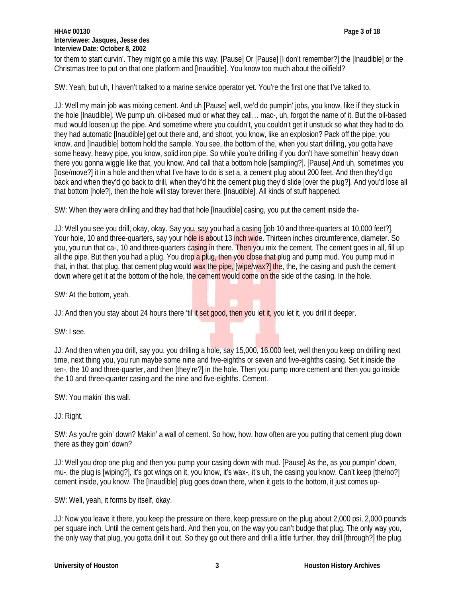# **HHA# 00130 Page 3 of 18 Interviewee: Jasques, Jesse des Interview Date: October 8, 2002**

for them to start curvin'. They might go a mile this way. [Pause] Or [Pause] [I don't remember?] the [Inaudible] or the Christmas tree to put on that one platform and [Inaudible]. You know too much about the oilfield?

SW: Yeah, but uh, I haven't talked to a marine service operator yet. You're the first one that I've talked to.

JJ: Well my main job was mixing cement. And uh [Pause] well, we'd do pumpin' jobs, you know, like if they stuck in the hole [Inaudible]. We pump uh, oil-based mud or what they call… mac-, uh, forgot the name of it. But the oil-based mud would loosen up the pipe. And sometime where you couldn't, you couldn't get it unstuck so what they had to do, they had automatic [Inaudible] get out there and, and shoot, you know, like an explosion? Pack off the pipe, you know, and [Inaudible] bottom hold the sample. You see, the bottom of the, when you start drilling, you gotta have some heavy, heavy pipe, you know, solid iron pipe. So while you're drilling if you don't have somethin' heavy down there you gonna wiggle like that, you know. And call that a bottom hole [sampling?]. [Pause] And uh, sometimes you [lose/move?] it in a hole and then what I've have to do is set a, a cement plug about 200 feet. And then they'd go back and when they'd go back to drill, when they'd hit the cement plug they'd slide [over the plug?]. And you'd lose all that bottom [hole?], then the hole will stay forever there. [Inaudible]. All kinds of stuff happened.

SW: When they were drilling and they had that hole [Inaudible] casing, you put the cement inside the-

JJ: Well you see you drill, okay, okay. Say you, say you had a casing [job 10 and three-quarters at 10,000 feet?]. Your hole, 10 and three-quarters, say your hole is about 13 inch wide. Thirteen inches circumference, diameter. So you, you run that ca-, 10 and three-quarters casing in there. Then you mix the cement. The cement goes in all, fill up all the pipe. But then you had a plug. You drop a plug, then you close that plug and pump mud. You pump mud in that, in that, that plug, that cement plug would wax the pipe, [wipe/wax?] the, the, the casing and push the cement down where get it at the bottom of the hole, the cement would come on the side of the casing. In the hole.

SW: At the bottom, yeah.

JJ: And then you stay about 24 hours there 'til it set good, then you let it, you let it, you drill it deeper.

SW: I see.

JJ: And then when you drill, say you, you drilling a hole, say 15,000, 16,000 feet, well then you keep on drilling next time, next thing you, you run maybe some nine and five-eighths or seven and five-eighths casing. Set it inside the ten-, the 10 and three-quarter, and then [they're?] in the hole. Then you pump more cement and then you go inside the 10 and three-quarter casing and the nine and five-eighths. Cement.

SW: You makin' this wall.

JJ: Right.

SW: As you're goin' down? Makin' a wall of cement. So how, how, how often are you putting that cement plug down there as they goin' down?

JJ: Well you drop one plug and then you pump your casing down with mud. [Pause] As the, as you pumpin' down, mu-, the plug is [wiping?], it's got wings on it, you know, it's wax-, it's uh, the casing you know. Can't keep [the/no?] cement inside, you know. The [Inaudible] plug goes down there, when it gets to the bottom, it just comes up-

SW: Well, yeah, it forms by itself, okay.

JJ: Now you leave it there, you keep the pressure on there, keep pressure on the plug about 2,000 psi, 2,000 pounds per square inch. Until the cement gets hard. And then you, on the way you can't budge that plug. The only way you, the only way that plug, you gotta drill it out. So they go out there and drill a little further, they drill [through?] the plug.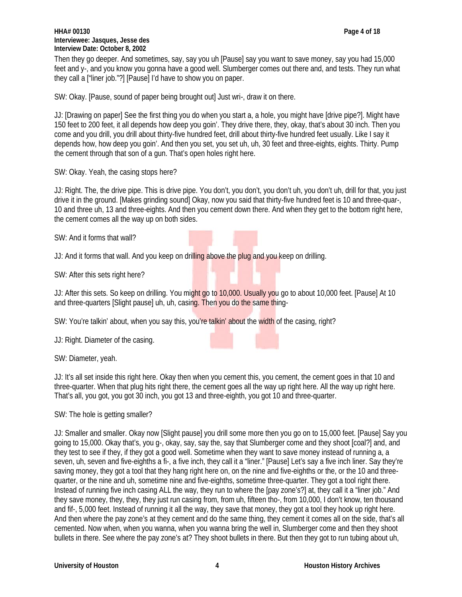#### **HHA# 00130 Page 4 of 18 Interviewee: Jasques, Jesse des Interview Date: October 8, 2002**

Then they go deeper. And sometimes, say, say you uh [Pause] say you want to save money, say you had 15,000 feet and y-, and you know you gonna have a good well. Slumberger comes out there and, and tests. They run what they call a ["liner job."?] [Pause] I'd have to show you on paper.

SW: Okay. [Pause, sound of paper being brought out] Just wri-, draw it on there.

JJ: [Drawing on paper] See the first thing you do when you start a, a hole, you might have [drive pipe?]. Might have 150 feet to 200 feet, it all depends how deep you goin'. They drive there, they, okay, that's about 30 inch. Then you come and you drill, you drill about thirty-five hundred feet, drill about thirty-five hundred feet usually. Like I say it depends how, how deep you goin'. And then you set, you set uh, uh, 30 feet and three-eights, eights. Thirty. Pump the cement through that son of a gun. That's open holes right here.

SW: Okay. Yeah, the casing stops here?

JJ: Right. The, the drive pipe. This is drive pipe. You don't, you don't, you don't uh, you don't uh, drill for that, you just drive it in the ground. [Makes grinding sound] Okay, now you said that thirty-five hundred feet is 10 and three-quar-, 10 and three uh, 13 and three-eights. And then you cement down there. And when they get to the bottom right here, the cement comes all the way up on both sides.

SW: And it forms that wall?

JJ: And it forms that wall. And you keep on drilling above the plug and you keep on drilling.

SW: After this sets right here?

JJ: After this sets. So keep on drilling. You might go to 10,000. Usually you go to about 10,000 feet. [Pause] At 10 and three-quarters [Slight pause] uh, uh, casing. Then you do the same thing-

SW: You're talkin' about, when you say this, you're talkin' about the width of the casing, right?

JJ: Right. Diameter of the casing.

SW: Diameter, yeah.

JJ: It's all set inside this right here. Okay then when you cement this, you cement, the cement goes in that 10 and three-quarter. When that plug hits right there, the cement goes all the way up right here. All the way up right here. That's all, you got, you got 30 inch, you got 13 and three-eighth, you got 10 and three-quarter.

SW: The hole is getting smaller?

JJ: Smaller and smaller. Okay now [Slight pause] you drill some more then you go on to 15,000 feet. [Pause] Say you going to 15,000. Okay that's, you g-, okay, say, say the, say that Slumberger come and they shoot [coal?] and, and they test to see if they, if they got a good well. Sometime when they want to save money instead of running a, a seven, uh, seven and five-eighths a fi-, a five inch, they call it a "liner." [Pause] Let's say a five inch liner. Say they're saving money, they got a tool that they hang right here on, on the nine and five-eighths or the, or the 10 and threequarter, or the nine and uh, sometime nine and five-eighths, sometime three-quarter. They got a tool right there. Instead of running five inch casing ALL the way, they run to where the [pay zone's?] at, they call it a "liner job." And they save money, they, they, they just run casing from, from uh, fifteen tho-, from 10,000, I don't know, ten thousand and fif-, 5,000 feet. Instead of running it all the way, they save that money, they got a tool they hook up right here. And then where the pay zone's at they cement and do the same thing, they cement it comes all on the side, that's all cemented. Now when, when you wanna, when you wanna bring the well in, Slumberger come and then they shoot bullets in there. See where the pay zone's at? They shoot bullets in there. But then they got to run tubing about uh,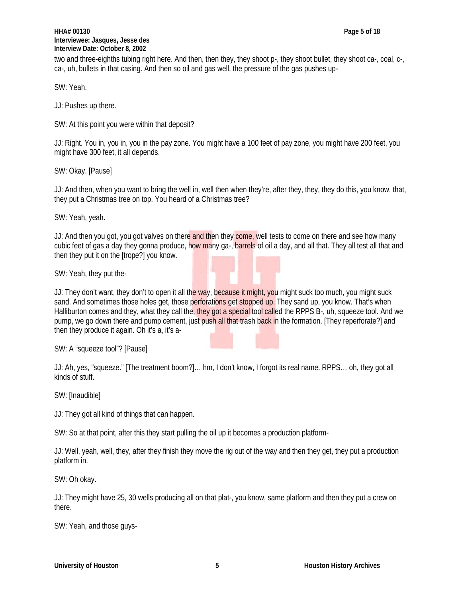## **HHA# 00130 Page 5 of 18 Interviewee: Jasques, Jesse des Interview Date: October 8, 2002**

two and three-eighths tubing right here. And then, then they, they shoot p-, they shoot bullet, they shoot ca-, coal, c-, ca-, uh, bullets in that casing. And then so oil and gas well, the pressure of the gas pushes up-

SW: Yeah.

JJ: Pushes up there.

SW: At this point you were within that deposit?

JJ: Right. You in, you in, you in the pay zone. You might have a 100 feet of pay zone, you might have 200 feet, you might have 300 feet, it all depends.

SW: Okay. [Pause]

JJ: And then, when you want to bring the well in, well then when they're, after they, they, they do this, you know, that, they put a Christmas tree on top. You heard of a Christmas tree?

SW: Yeah, yeah.

JJ: And then you got, you got valves on there and then they come, well tests to come on there and see how many cubic feet of gas a day they gonna produce, how many ga-, barrels of oil a day, and all that. They all test all that and then they put it on the [trope?] you know.

SW: Yeah, they put the-

JJ: They don't want, they don't to open it all the way, because it might, you might suck too much, you might suck sand. And sometimes those holes get, those perforations get stopped up. They sand up, you know. That's when Halliburton comes and they, what they call the, they got a special tool called the RPPS B-, uh, squeeze tool. And we pump, we go down there and pump cement, just push all that trash back in the formation. [They reperforate?] and then they produce it again. Oh it's a, it's a-

SW: A "squeeze tool"? [Pause]

JJ: Ah, yes, "squeeze." [The treatment boom?]… hm, I don't know, I forgot its real name. RPPS… oh, they got all kinds of stuff.

SW: [Inaudible]

JJ: They got all kind of things that can happen.

SW: So at that point, after this they start pulling the oil up it becomes a production platform-

JJ: Well, yeah, well, they, after they finish they move the rig out of the way and then they get, they put a production platform in.

SW: Oh okay.

JJ: They might have 25, 30 wells producing all on that plat-, you know, same platform and then they put a crew on there.

SW: Yeah, and those guys-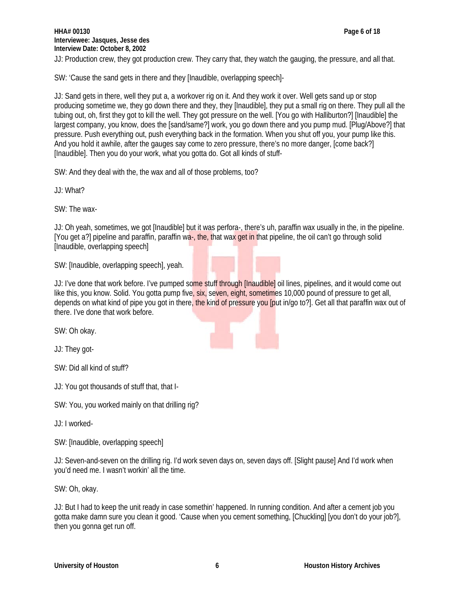JJ: Production crew, they got production crew. They carry that, they watch the gauging, the pressure, and all that.

SW: 'Cause the sand gets in there and they [Inaudible, overlapping speech]-

JJ: Sand gets in there, well they put a, a workover rig on it. And they work it over. Well gets sand up or stop producing sometime we, they go down there and they, they [Inaudible], they put a small rig on there. They pull all the tubing out, oh, first they got to kill the well. They got pressure on the well. [You go with Halliburton?] [Inaudible] the largest company, you know, does the [sand/same?] work, you go down there and you pump mud. [Plug/Above?] that pressure. Push everything out, push everything back in the formation. When you shut off you, your pump like this. And you hold it awhile, after the gauges say come to zero pressure, there's no more danger, [come back?] [Inaudible]. Then you do your work, what you gotta do. Got all kinds of stuff-

SW: And they deal with the, the wax and all of those problems, too?

JJ: What?

SW: The wax-

JJ: Oh yeah, sometimes, we got [Inaudible] but it was perfora-, there's uh, paraffin wax usually in the, in the pipeline. [You get a?] pipeline and paraffin, paraffin wa-, the, that wax get in that pipeline, the oil can't go through solid [Inaudible, overlapping speech]

SW: [Inaudible, overlapping speech], yeah.

JJ: I've done that work before. I've pumped some stuff through [Inaudible] oil lines, pipelines, and it would come out like this, you know. Solid. You gotta pump five, six, seven, eight, sometimes 10,000 pound of pressure to get all, depends on what kind of pipe you got in there, the kind of pressure you [put in/go to?]. Get all that paraffin wax out of there. I've done that work before.

SW: Oh okay.

JJ: They got-

SW: Did all kind of stuff?

JJ: You got thousands of stuff that, that I-

SW: You, you worked mainly on that drilling rig?

JJ: I worked-

SW: [Inaudible, overlapping speech]

JJ: Seven-and-seven on the drilling rig. I'd work seven days on, seven days off. [Slight pause] And I'd work when you'd need me. I wasn't workin' all the time.

SW: Oh, okay.

JJ: But I had to keep the unit ready in case somethin' happened. In running condition. And after a cement job you gotta make damn sure you clean it good. 'Cause when you cement something, [Chuckling] [you don't do your job?], then you gonna get run off.

$$
\mathcal{L}^{\mathcal{L}}(\mathcal{L}^{\mathcal{L}})
$$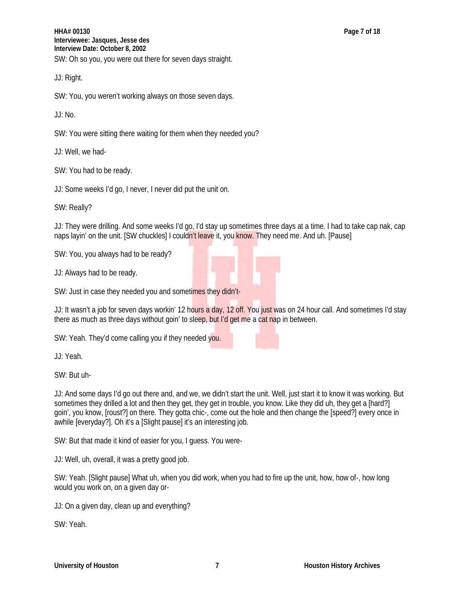**HHA# 00130 Page 7 of 18 Interviewee: Jasques, Jesse des Interview Date: October 8, 2002** SW: Oh so you, you were out there for seven days straight.

JJ: Right.

SW: You, you weren't working always on those seven days.

JJ: No.

SW: You were sitting there waiting for them when they needed you?

JJ: Well, we had-

SW: You had to be ready.

JJ: Some weeks I'd go, I never, I never did put the unit on.

SW: Really?

JJ: They were drilling. And some weeks I'd go, I'd stay up sometimes three days at a time. I had to take cap nak, cap naps layin' on the unit. [SW chuckles] I couldn't leave it, you know. They need me. And uh. [Pause]

SW: You, you always had to be ready?

JJ: Always had to be ready.

SW: Just in case they needed you and sometimes they didn't-

JJ: It wasn't a job for seven days workin' 12 hours a day, 12 off. You just was on 24 hour call. And sometimes I'd stay there as much as three days without goin' to sleep, but I'd get me a cat nap in between.

SW: Yeah. They'd come calling you if they needed you.

JJ: Yeah.

SW: But uh-

JJ: And some days I'd go out there and, and we, we didn't start the unit. Well, just start it to know it was working. But sometimes they drilled a lot and then they get, they get in trouble, you know. Like they did uh, they get a [hard?] goin', you know, [roust?] on there. They gotta chic-, come out the hole and then change the [speed?] every once in awhile [everyday?]. Oh it's a [Slight pause] it's an interesting job.

SW: But that made it kind of easier for you, I guess. You were-

JJ: Well, uh, overall, it was a pretty good job.

SW: Yeah. [Slight pause] What uh, when you did work, when you had to fire up the unit, how, how of-, how long would you work on, on a given day or-

JJ: On a given day, clean up and everything?

SW: Yeah.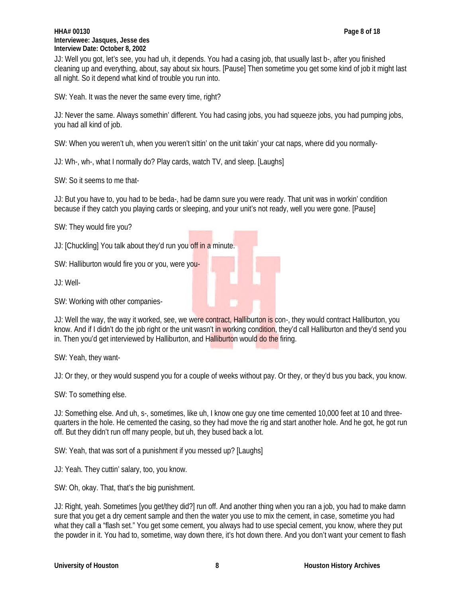JJ: Well you got, let's see, you had uh, it depends. You had a casing job, that usually last b-, after you finished cleaning up and everything, about, say about six hours. [Pause] Then sometime you get some kind of job it might last all night. So it depend what kind of trouble you run into.

SW: Yeah. It was the never the same every time, right?

JJ: Never the same. Always somethin' different. You had casing jobs, you had squeeze jobs, you had pumping jobs, you had all kind of job.

SW: When you weren't uh, when you weren't sittin' on the unit takin' your cat naps, where did you normally-

JJ: Wh-, wh-, what I normally do? Play cards, watch TV, and sleep. [Laughs]

SW: So it seems to me that-

JJ: But you have to, you had to be beda-, had be damn sure you were ready. That unit was in workin' condition because if they catch you playing cards or sleeping, and your unit's not ready, well you were gone. [Pause]

SW: They would fire you?

JJ: [Chuckling] You talk about they'd run you off in a minute.

SW: Halliburton would fire you or you, were you-

JJ: Well-

SW: Working with other companies-

JJ: Well the way, the way it worked, see, we were contract, Halliburton is con-, they would contract Halliburton, you know. And if I didn't do the job right or the unit wasn't in working condition, they'd call Halliburton and they'd send you in. Then you'd get interviewed by Halliburton, and Halliburton would do the firing.

SW: Yeah, they want-

JJ: Or they, or they would suspend you for a couple of weeks without pay. Or they, or they'd bus you back, you know.

SW: To something else.

JJ: Something else. And uh, s-, sometimes, like uh, I know one guy one time cemented 10,000 feet at 10 and threequarters in the hole. He cemented the casing, so they had move the rig and start another hole. And he got, he got run off. But they didn't run off many people, but uh, they bused back a lot.

SW: Yeah, that was sort of a punishment if you messed up? [Laughs]

JJ: Yeah. They cuttin' salary, too, you know.

SW: Oh, okay. That, that's the big punishment.

JJ: Right, yeah. Sometimes [you get/they did?] run off. And another thing when you ran a job, you had to make damn sure that you get a dry cement sample and then the water you use to mix the cement, in case, sometime you had what they call a "flash set." You get some cement, you always had to use special cement, you know, where they put the powder in it. You had to, sometime, way down there, it's hot down there. And you don't want your cement to flash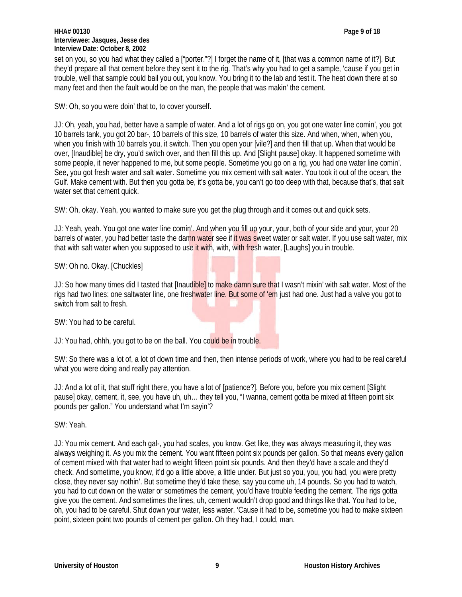## **HHA# 00130 Page 9 of 18 Interviewee: Jasques, Jesse des Interview Date: October 8, 2002**

set on you, so you had what they called a ["porter."?] I forget the name of it, [that was a common name of it?]. But they'd prepare all that cement before they sent it to the rig. That's why you had to get a sample, 'cause if you get in trouble, well that sample could bail you out, you know. You bring it to the lab and test it. The heat down there at so many feet and then the fault would be on the man, the people that was makin' the cement.

SW: Oh, so you were doin' that to, to cover yourself.

JJ: Oh, yeah, you had, better have a sample of water. And a lot of rigs go on, you got one water line comin', you got 10 barrels tank, you got 20 bar-, 10 barrels of this size, 10 barrels of water this size. And when, when, when you, when you finish with 10 barrels you, it switch. Then you open your [vile?] and then fill that up. When that would be over, [Inaudible] be dry, you'd switch over, and then fill this up. And [Slight pause] okay. It happened sometime with some people, it never happened to me, but some people. Sometime you go on a rig, you had one water line comin'. See, you got fresh water and salt water. Sometime you mix cement with salt water. You took it out of the ocean, the Gulf. Make cement with. But then you gotta be, it's gotta be, you can't go too deep with that, because that's, that salt water set that cement quick.

SW: Oh, okay. Yeah, you wanted to make sure you get the plug through and it comes out and quick sets.

JJ: Yeah, yeah. You got one water line comin'. And when you fill up your, your, both of your side and your, your 20 barrels of water, you had better taste the damn water see if it was sweet water or salt water. If you use salt water, mix that with salt water when you supposed to use it with, with, with fresh water, [Laughs] you in trouble.

SW: Oh no. Okay. [Chuckles]

JJ: So how many times did I tasted that [Inaudible] to make damn sure that I wasn't mixin' with salt water. Most of the rigs had two lines: one saltwater line, one freshwater line. But some of 'em just had one. Just had a valve you got to switch from salt to fresh.

SW: You had to be careful.

JJ: You had, ohhh, you got to be on the ball. You could be in trouble.

SW: So there was a lot of, a lot of down time and then, then intense periods of work, where you had to be real careful what you were doing and really pay attention.

JJ: And a lot of it, that stuff right there, you have a lot of [patience?]. Before you, before you mix cement [Slight pause] okay, cement, it, see, you have uh, uh… they tell you, "I wanna, cement gotta be mixed at fifteen point six pounds per gallon." You understand what I'm sayin'?

SW: Yeah.

JJ: You mix cement. And each gal-, you had scales, you know. Get like, they was always measuring it, they was always weighing it. As you mix the cement. You want fifteen point six pounds per gallon. So that means every gallon of cement mixed with that water had to weight fifteen point six pounds. And then they'd have a scale and they'd check. And sometime, you know, it'd go a little above, a little under. But just so you, you, you had, you were pretty close, they never say nothin'. But sometime they'd take these, say you come uh, 14 pounds. So you had to watch, you had to cut down on the water or sometimes the cement, you'd have trouble feeding the cement. The rigs gotta give you the cement. And sometimes the lines, uh, cement wouldn't drop good and things like that. You had to be, oh, you had to be careful. Shut down your water, less water. 'Cause it had to be, sometime you had to make sixteen point, sixteen point two pounds of cement per gallon. Oh they had, I could, man.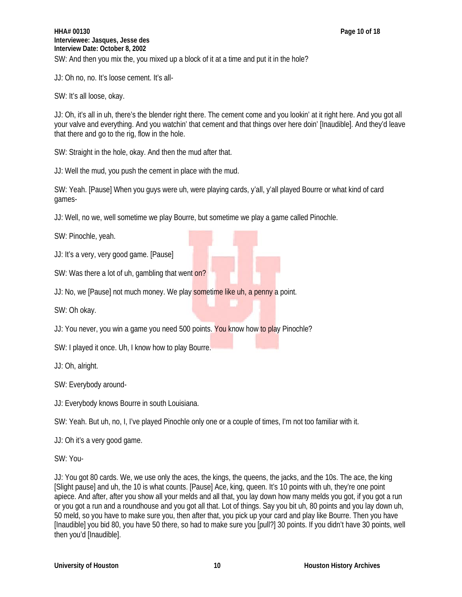JJ: Oh no, no. It's loose cement. It's all-

SW: It's all loose, okay.

JJ: Oh, it's all in uh, there's the blender right there. The cement come and you lookin' at it right here. And you got all your valve and everything. And you watchin' that cement and that things over here doin' [Inaudible]. And they'd leave that there and go to the rig, flow in the hole.

SW: Straight in the hole, okay. And then the mud after that.

JJ: Well the mud, you push the cement in place with the mud.

SW: Yeah. [Pause] When you guys were uh, were playing cards, y'all, y'all played Bourre or what kind of card games-

JJ: Well, no we, well sometime we play Bourre, but sometime we play a game called Pinochle.

SW: Pinochle, yeah.

JJ: It's a very, very good game. [Pause]

SW: Was there a lot of uh, gambling that went on?

JJ: No, we [Pause] not much money. We play sometime like uh, a penny a point.

SW: Oh okay.

JJ: You never, you win a game you need 500 points. You know how to play Pinochle?

SW: I played it once. Uh, I know how to play Bourre.

JJ: Oh, alright.

SW: Everybody around-

JJ: Everybody knows Bourre in south Louisiana.

SW: Yeah. But uh, no, I, I've played Pinochle only one or a couple of times, I'm not too familiar with it.

JJ: Oh it's a very good game.

SW: You-

JJ: You got 80 cards. We, we use only the aces, the kings, the queens, the jacks, and the 10s. The ace, the king [Slight pause] and uh, the 10 is what counts. [Pause] Ace, king, queen. It's 10 points with uh, they're one point apiece. And after, after you show all your melds and all that, you lay down how many melds you got, if you got a run or you got a run and a roundhouse and you got all that. Lot of things. Say you bit uh, 80 points and you lay down uh, 50 meld, so you have to make sure you, then after that, you pick up your card and play like Bourre. Then you have [Inaudible] you bid 80, you have 50 there, so had to make sure you [pull?] 30 points. If you didn't have 30 points, well then you'd [Inaudible].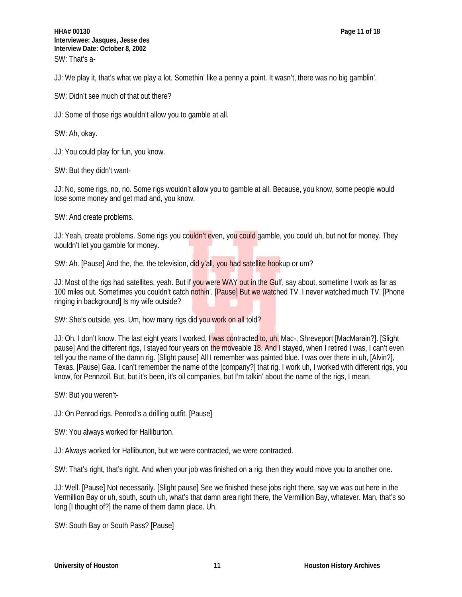JJ: We play it, that's what we play a lot. Somethin' like a penny a point. It wasn't, there was no big gamblin'.

SW: Didn't see much of that out there?

JJ: Some of those rigs wouldn't allow you to gamble at all.

SW: Ah, okay.

JJ: You could play for fun, you know.

SW: But they didn't want-

JJ: No, some rigs, no, no. Some rigs wouldn't allow you to gamble at all. Because, you know, some people would lose some money and get mad and, you know.

SW: And create problems.

JJ: Yeah, create problems. Some rigs you couldn't even, you could gamble, you could uh, but not for money. They wouldn't let you gamble for money.

SW: Ah. [Pause] And the, the, the television, did y'all, you had satellite hookup or um?

JJ: Most of the rigs had satellites, yeah. But if you were WAY out in the Gulf, say about, sometime I work as far as 100 miles out. Sometimes you couldn't catch nothin'. [Pause] But we watched TV. I never watched much TV. [Phone ringing in background] Is my wife outside?

SW: She's outside, yes. Um, how many rigs did you work on all told?

JJ: Oh, I don't know. The last eight years I worked, I was contracted to, uh, Mac-, Shreveport [MacMarain?]. [Slight pause] And the different rigs, I stayed four years on the moveable 18. And I stayed, when I retired I was, I can't even tell you the name of the damn rig. [Slight pause] All I remember was painted blue. I was over there in uh, [Alvin?], Texas. [Pause] Gaa. I can't remember the name of the [company?] that rig. I work uh, I worked with different rigs, you know, for Pennzoil. But, but it's been, it's oil companies, but I'm talkin' about the name of the rigs, I mean.

SW: But you weren't-

JJ: On Penrod rigs. Penrod's a drilling outfit. [Pause]

SW: You always worked for Halliburton.

JJ: Always worked for Halliburton, but we were contracted, we were contracted.

SW: That's right, that's right. And when your job was finished on a rig, then they would move you to another one.

JJ: Well. [Pause] Not necessarily. [Slight pause] See we finished these jobs right there, say we was out here in the Vermillion Bay or uh, south, south uh, what's that damn area right there, the Vermillion Bay, whatever. Man, that's so long [I thought of?] the name of them damn place. Uh.

SW: South Bay or South Pass? [Pause]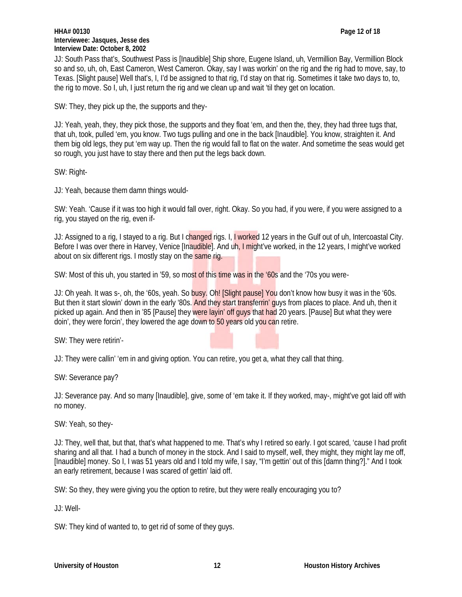#### **HHA# 00130 Page 12 of 18 Interviewee: Jasques, Jesse des Interview Date: October 8, 2002**

JJ: South Pass that's, Southwest Pass is [Inaudible] Ship shore, Eugene Island, uh, Vermillion Bay, Vermillion Block so and so, uh, oh, East Cameron, West Cameron. Okay, say I was workin' on the rig and the rig had to move, say, to Texas. [Slight pause] Well that's, I, I'd be assigned to that rig, I'd stay on that rig. Sometimes it take two days to, to, the rig to move. So I, uh, I just return the rig and we clean up and wait 'til they get on location.

SW: They, they pick up the, the supports and they-

JJ: Yeah, yeah, they, they pick those, the supports and they float 'em, and then the, they, they had three tugs that, that uh, took, pulled 'em, you know. Two tugs pulling and one in the back [Inaudible]. You know, straighten it. And them big old legs, they put 'em way up. Then the rig would fall to flat on the water. And sometime the seas would get so rough, you just have to stay there and then put the legs back down.

SW: Right-

JJ: Yeah, because them damn things would-

SW: Yeah. 'Cause if it was too high it would fall over, right. Okay. So you had, if you were, if you were assigned to a rig, you stayed on the rig, even if-

JJ: Assigned to a rig, I stayed to a rig. But I changed rigs. I, I worked 12 years in the Gulf out of uh, Intercoastal City. Before I was over there in Harvey, Venice [Inaudible]. And uh, I might've worked, in the 12 years, I might've worked about on six different rigs. I mostly stay on the same rig.

SW: Most of this uh, you started in '59, so most of this time was in the '60s and the '70s you were-

JJ: Oh yeah. It was s-, oh, the '60s, yeah. So busy. Oh! [Slight pause] You don't know how busy it was in the '60s. But then it start slowin' down in the early '80s. And they start transferrin' guys from places to place. And uh, then it picked up again. And then in '85 [Pause] they were layin' off guys that had 20 years. [Pause] But what they were doin', they were forcin', they lowered the age down to 50 years old you can retire.

SW: They were retirin'-

JJ: They were callin' 'em in and giving option. You can retire, you get a, what they call that thing.

SW: Severance pay?

JJ: Severance pay. And so many [Inaudible], give, some of 'em take it. If they worked, may-, might've got laid off with no money.

SW: Yeah, so they-

JJ: They, well that, but that, that's what happened to me. That's why I retired so early. I got scared, 'cause I had profit sharing and all that. I had a bunch of money in the stock. And I said to myself, well, they might, they might lay me off, [Inaudible] money. So I, I was 51 years old and I told my wife, I say, "I'm gettin' out of this [damn thing?]." And I took an early retirement, because I was scared of gettin' laid off.

SW: So they, they were giving you the option to retire, but they were really encouraging you to?

JJ: Well-

SW: They kind of wanted to, to get rid of some of they guys.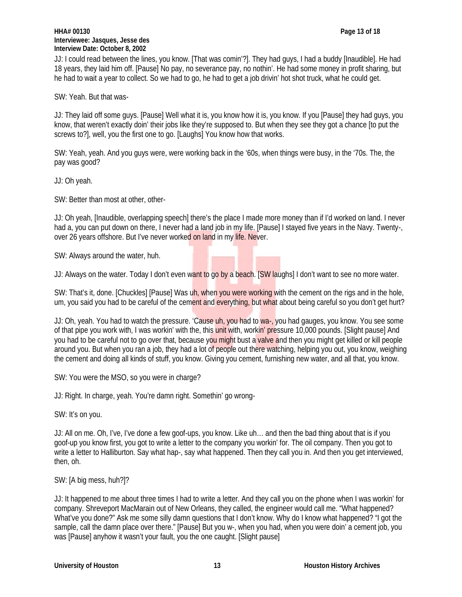## **HHA# 00130 Page 13 of 18 Interviewee: Jasques, Jesse des Interview Date: October 8, 2002**

JJ: I could read between the lines, you know. [That was comin'?]. They had guys, I had a buddy [Inaudible]. He had 18 years, they laid him off. [Pause] No pay, no severance pay, no nothin'. He had some money in profit sharing, but he had to wait a year to collect. So we had to go, he had to get a job drivin' hot shot truck, what he could get.

SW: Yeah. But that was-

JJ: They laid off some guys. [Pause] Well what it is, you know how it is, you know. If you [Pause] they had guys, you know, that weren't exactly doin' their jobs like they're supposed to. But when they see they got a chance [to put the screws to?], well, you the first one to go. [Laughs] You know how that works.

SW: Yeah, yeah. And you guys were, were working back in the '60s, when things were busy, in the '70s. The, the pay was good?

JJ: Oh yeah.

SW: Better than most at other, other-

JJ: Oh yeah, [Inaudible, overlapping speech] there's the place I made more money than if I'd worked on land. I never had a, you can put down on there, I never had a land job in my life. [Pause] I stayed five years in the Navy. Twenty-, over 26 years offshore. But I've never worked on land in my life. Never.

SW: Always around the water, huh.

JJ: Always on the water. Today I don't even want to go by a beach. [SW laughs] I don't want to see no more water.

SW: That's it, done. [Chuckles] [Pause] Was uh, when you were working with the cement on the rigs and in the hole, um, you said you had to be careful of the cement and everything, but what about being careful so you don't get hurt?

JJ: Oh, yeah. You had to watch the pressure. 'Cause uh, you had to wa-, you had gauges, you know. You see some of that pipe you work with, I was workin' with the, this unit with, workin' pressure 10,000 pounds. [Slight pause] And you had to be careful not to go over that, because you might bust a valve and then you might get killed or kill people around you. But when you ran a job, they had a lot of people out there watching, helping you out, you know, weighing the cement and doing all kinds of stuff, you know. Giving you cement, furnishing new water, and all that, you know.

SW: You were the MSO, so you were in charge?

JJ: Right. In charge, yeah. You're damn right. Somethin' go wrong-

SW: It's on you.

JJ: All on me. Oh, I've, I've done a few goof-ups, you know. Like uh… and then the bad thing about that is if you goof-up you know first, you got to write a letter to the company you workin' for. The oil company. Then you got to write a letter to Halliburton. Say what hap-, say what happened. Then they call you in. And then you get interviewed, then, oh.

# SW: [A big mess, huh?]?

JJ: It happened to me about three times I had to write a letter. And they call you on the phone when I was workin' for company. Shreveport MacMarain out of New Orleans, they called, the engineer would call me. "What happened? What've you done?" Ask me some silly damn questions that I don't know. Why do I know what happened? "I got the sample, call the damn place over there." [Pause] But you w-, when you had, when you were doin' a cement job, you was [Pause] anyhow it wasn't your fault, you the one caught. [Slight pause]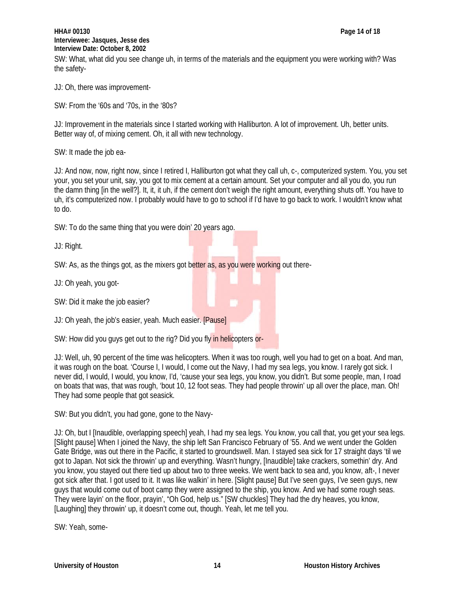# **HHA# 00130 Page 14 of 18 Interviewee: Jasques, Jesse des Interview Date: October 8, 2002**

SW: What, what did you see change uh, in terms of the materials and the equipment you were working with? Was the safety-

JJ: Oh, there was improvement-

SW: From the '60s and '70s, in the '80s?

JJ: Improvement in the materials since I started working with Halliburton. A lot of improvement. Uh, better units. Better way of, of mixing cement. Oh, it all with new technology.

SW: It made the job ea-

JJ: And now, now, right now, since I retired I, Halliburton got what they call uh, c-, computerized system. You, you set your, you set your unit, say, you got to mix cement at a certain amount. Set your computer and all you do, you run the damn thing [in the well?]. It, it, it uh, if the cement don't weigh the right amount, everything shuts off. You have to uh, it's computerized now. I probably would have to go to school if I'd have to go back to work. I wouldn't know what to do.

SW: To do the same thing that you were doin' 20 years ago.

JJ: Right.

SW: As, as the things got, as the mixers got better as, as you were working out there-

JJ: Oh yeah, you got-

SW: Did it make the job easier?

JJ: Oh yeah, the job's easier, yeah. Much easier. [Pause]

SW: How did you guys get out to the rig? Did you fly in helicopters or-

JJ: Well, uh, 90 percent of the time was helicopters. When it was too rough, well you had to get on a boat. And man, it was rough on the boat. 'Course I, I would, I come out the Navy, I had my sea legs, you know. I rarely got sick. I never did, I would, I would, you know, I'd, 'cause your sea legs, you know, you didn't. But some people, man, I road on boats that was, that was rough, 'bout 10, 12 foot seas. They had people throwin' up all over the place, man. Oh! They had some people that got seasick.

SW: But you didn't, you had gone, gone to the Navy-

JJ: Oh, but I [Inaudible, overlapping speech] yeah, I had my sea legs. You know, you call that, you get your sea legs. [Slight pause] When I joined the Navy, the ship left San Francisco February of '55. And we went under the Golden Gate Bridge, was out there in the Pacific, it started to groundswell. Man. I stayed sea sick for 17 straight days 'til we got to Japan. Not sick the throwin' up and everything. Wasn't hungry, [Inaudible] take crackers, somethin' dry. And you know, you stayed out there tied up about two to three weeks. We went back to sea and, you know, aft-, I never got sick after that. I got used to it. It was like walkin' in here. [Slight pause] But I've seen guys, I've seen guys, new guys that would come out of boot camp they were assigned to the ship, you know. And we had some rough seas. They were layin' on the floor, prayin', "Oh God, help us." [SW chuckles] They had the dry heaves, you know, [Laughing] they throwin' up, it doesn't come out, though. Yeah, let me tell you.

SW: Yeah, some-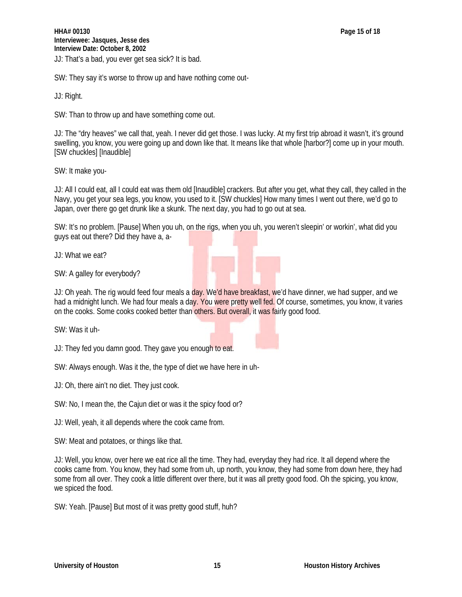SW: They say it's worse to throw up and have nothing come out-

JJ: Right.

SW: Than to throw up and have something come out.

JJ: The "dry heaves" we call that, yeah. I never did get those. I was lucky. At my first trip abroad it wasn't, it's ground swelling, you know, you were going up and down like that. It means like that whole [harbor?] come up in your mouth. [SW chuckles] [Inaudible]

SW: It make you-

JJ: All I could eat, all I could eat was them old [Inaudible] crackers. But after you get, what they call, they called in the Navy, you get your sea legs, you know, you used to it. [SW chuckles] How many times I went out there, we'd go to Japan, over there go get drunk like a skunk. The next day, you had to go out at sea.

SW: It's no problem. [Pause] When you uh, on the rigs, when you uh, you weren't sleepin' or workin', what did you guys eat out there? Did they have a, a-

JJ: What we eat?

SW: A galley for everybody?

JJ: Oh yeah. The rig would feed four meals a day. We'd have breakfast, we'd have dinner, we had supper, and we had a midnight lunch. We had four meals a day. You were pretty well fed. Of course, sometimes, you know, it varies on the cooks. Some cooks cooked better than others. But overall, it was fairly good food.

SW: Was it uh-

JJ: They fed you damn good. They gave you enough to eat.

SW: Always enough. Was it the, the type of diet we have here in uh-

JJ: Oh, there ain't no diet. They just cook.

SW: No, I mean the, the Cajun diet or was it the spicy food or?

JJ: Well, yeah, it all depends where the cook came from.

SW: Meat and potatoes, or things like that.

JJ: Well, you know, over here we eat rice all the time. They had, everyday they had rice. It all depend where the cooks came from. You know, they had some from uh, up north, you know, they had some from down here, they had some from all over. They cook a little different over there, but it was all pretty good food. Oh the spicing, you know, we spiced the food.

SW: Yeah. [Pause] But most of it was pretty good stuff, huh?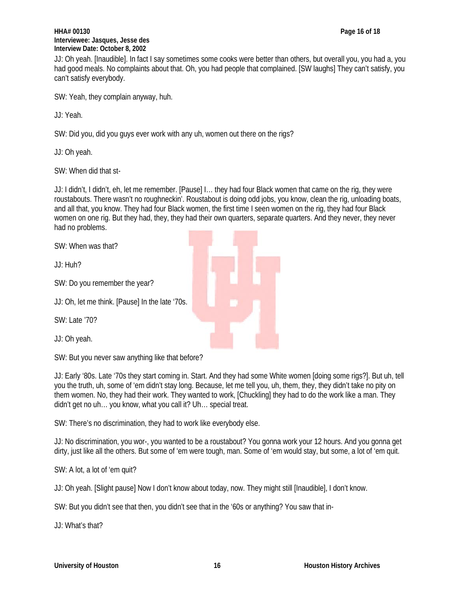#### **HHA# 00130 Page 16 of 18 Interviewee: Jasques, Jesse des Interview Date: October 8, 2002**

JJ: Oh yeah. [Inaudible]. In fact I say sometimes some cooks were better than others, but overall you, you had a, you had good meals. No complaints about that. Oh, you had people that complained. [SW laughs] They can't satisfy, you can't satisfy everybody.

SW: Yeah, they complain anyway, huh.

JJ: Yeah.

SW: Did you, did you guys ever work with any uh, women out there on the rigs?

JJ: Oh yeah.

SW: When did that st-

JJ: I didn't, I didn't, eh, let me remember. [Pause] I… they had four Black women that came on the rig, they were roustabouts. There wasn't no roughneckin'. Roustabout is doing odd jobs, you know, clean the rig, unloading boats, and all that, you know. They had four Black women, the first time I seen women on the rig, they had four Black women on one rig. But they had, they, they had their own quarters, separate quarters. And they never, they never had no problems.

SW: When was that?

JJ: Huh?

SW: Do you remember the year?

JJ: Oh, let me think. [Pause] In the late '70s.

SW: Late '70?

JJ: Oh yeah.

SW: But you never saw anything like that before?

JJ: Early '80s. Late '70s they start coming in. Start. And they had some White women [doing some rigs?]. But uh, tell you the truth, uh, some of 'em didn't stay long. Because, let me tell you, uh, them, they, they didn't take no pity on them women. No, they had their work. They wanted to work, [Chuckling] they had to do the work like a man. They didn't get no uh… you know, what you call it? Uh… special treat.

SW: There's no discrimination, they had to work like everybody else.

JJ: No discrimination, you wor-, you wanted to be a roustabout? You gonna work your 12 hours. And you gonna get dirty, just like all the others. But some of 'em were tough, man. Some of 'em would stay, but some, a lot of 'em quit.

SW: A lot, a lot of 'em quit?

JJ: Oh yeah. [Slight pause] Now I don't know about today, now. They might still [Inaudible], I don't know.

SW: But you didn't see that then, you didn't see that in the '60s or anything? You saw that in-

JJ: What's that?

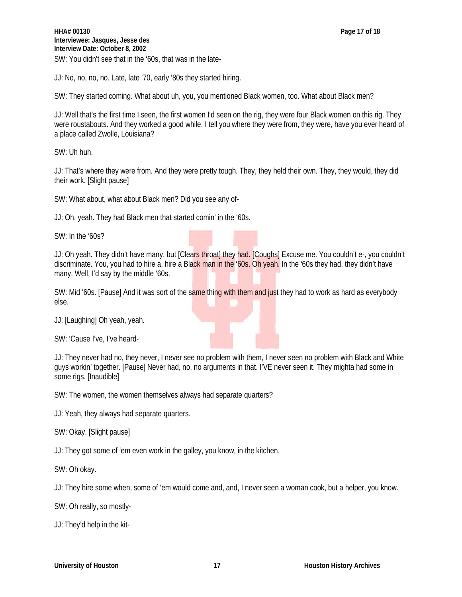JJ: No, no, no, no. Late, late '70, early '80s they started hiring.

SW: They started coming. What about uh, you, you mentioned Black women, too. What about Black men?

JJ: Well that's the first time I seen, the first women I'd seen on the rig, they were four Black women on this rig. They were roustabouts. And they worked a good while. I tell you where they were from, they were, have you ever heard of a place called Zwolle, Louisiana?

SW: Uh huh.

JJ: That's where they were from. And they were pretty tough. They, they held their own. They, they would, they did their work. [Slight pause]

SW: What about, what about Black men? Did you see any of-

JJ: Oh, yeah. They had Black men that started comin' in the '60s.

SW: In the '60s?

JJ: Oh yeah. They didn't have many, but [Clears throat] they had. [Coughs] Excuse me. You couldn't e-, you couldn't discriminate. You, you had to hire a, hire a Black man in the '60s. Oh yeah. In the '60s they had, they didn't have many. Well, I'd say by the middle '60s.

SW: Mid '60s. [Pause] And it was sort of the same thing with them and just they had to work as hard as everybody else.

JJ: [Laughing] Oh yeah, yeah.

SW: 'Cause I've, I've heard-

JJ: They never had no, they never, I never see no problem with them, I never seen no problem with Black and White guys workin' together. [Pause] Never had, no, no arguments in that. I'VE never seen it. They mighta had some in some rigs. [Inaudible]

SW: The women, the women themselves always had separate quarters?

JJ: Yeah, they always had separate quarters.

SW: Okay. [Slight pause]

JJ: They got some of 'em even work in the galley, you know, in the kitchen.

SW: Oh okay.

JJ: They hire some when, some of 'em would come and, and, I never seen a woman cook, but a helper, you know.

SW: Oh really, so mostly-

JJ: They'd help in the kit-